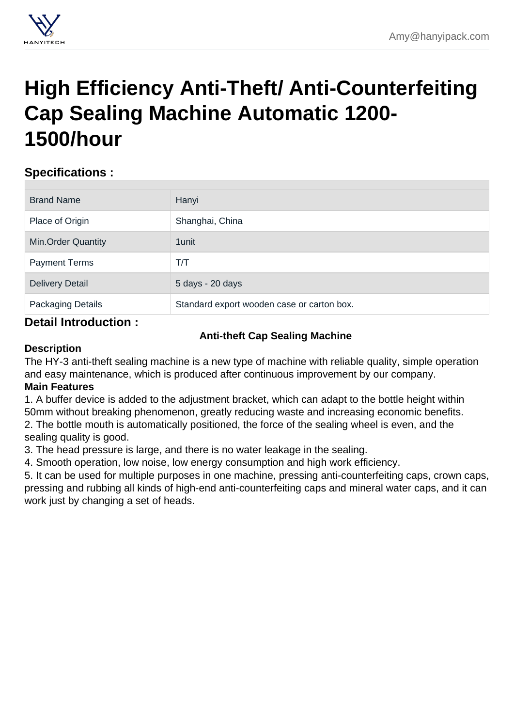## [High Efficiency Anti-Theft/ Anti-Counterfeiting](https://hanyipack.com/cap-sealing-machine/anti-theft-cap-sealing-machine.html) Cap Sealing Machine Automatic 1200- 1500/hour

## Specifications :

| <b>Brand Name</b>         | Hanyi                                      |
|---------------------------|--------------------------------------------|
| Place of Origin           | Shanghai, China                            |
| <b>Min.Order Quantity</b> | 1 unit                                     |
| <b>Payment Terms</b>      | T/T                                        |
| <b>Delivery Detail</b>    | 5 days - 20 days                           |
| Packaging Details         | Standard export wooden case or carton box. |
|                           |                                            |

## Detail Introduction :

Anti-theft Cap Sealing Machine

## **Description**

The HY-3 anti-theft sealing machine is a new type of machine with reliable quality, simple operation and easy maintenance, which is produced after continuous improvement by our company. Main Features

1. A buffer device is added to the adjustment bracket, which can adapt to the bottle height within 50mm without breaking phenomenon, greatly reducing waste and increasing economic benefits. 2. The bottle mouth is automatically positioned, the force of the sealing wheel is even, and the sealing quality is good.

3. The head pressure is large, and there is no water leakage in the sealing.

4. Smooth operation, low noise, low energy consumption and high work efficiency.

5. It can be used for multiple purposes in one machine, pressing anti-counterfeiting caps, crown caps, pressing and rubbing all kinds of high-end anti-counterfeiting caps and mineral water caps, and it can work just by changing a set of heads.